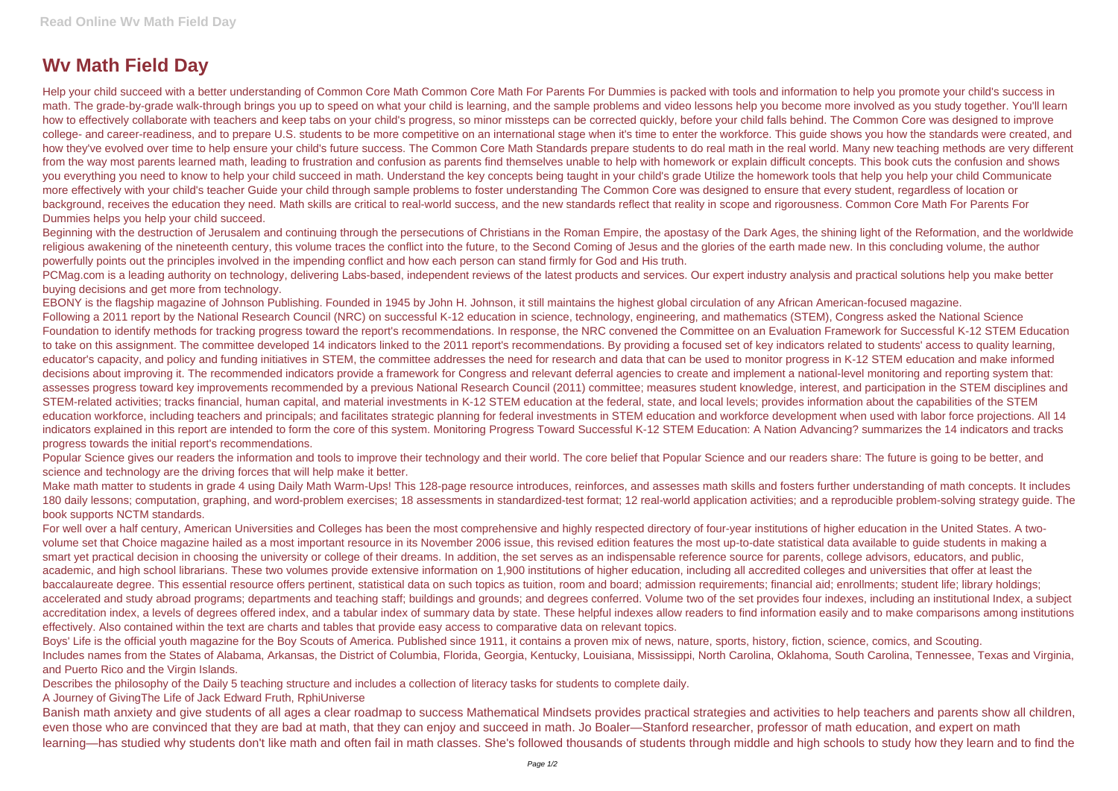## **Wv Math Field Day**

Help your child succeed with a better understanding of Common Core Math Common Core Math For Parents For Dummies is packed with tools and information to help you promote your child's success in math. The grade-by-grade walk-through brings you up to speed on what your child is learning, and the sample problems and video lessons help you become more involved as you study together. You'll learn how to effectively collaborate with teachers and keep tabs on your child's progress, so minor missteps can be corrected quickly, before your child falls behind. The Common Core was designed to improve college- and career-readiness, and to prepare U.S. students to be more competitive on an international stage when it's time to enter the workforce. This guide shows you how the standards were created, and how they've evolved over time to help ensure your child's future success. The Common Core Math Standards prepare students to do real math in the real world. Many new teaching methods are very different from the way most parents learned math, leading to frustration and confusion as parents find themselves unable to help with homework or explain difficult concepts. This book cuts the confusion and shows you everything you need to know to help your child succeed in math. Understand the key concepts being taught in your child's grade Utilize the homework tools that help you help your child Communicate more effectively with your child's teacher Guide your child through sample problems to foster understanding The Common Core was designed to ensure that every student, regardless of location or background, receives the education they need. Math skills are critical to real-world success, and the new standards reflect that reality in scope and rigorousness. Common Core Math For Parents For Dummies helps you help your child succeed.

Beginning with the destruction of Jerusalem and continuing through the persecutions of Christians in the Roman Empire, the apostasy of the Dark Ages, the shining light of the Reformation, and the worldwide religious awakening of the nineteenth century, this volume traces the conflict into the future, to the Second Coming of Jesus and the glories of the earth made new. In this concluding volume, the author powerfully points out the principles involved in the impending conflict and how each person can stand firmly for God and His truth.

PCMag.com is a leading authority on technology, delivering Labs-based, independent reviews of the latest products and services. Our expert industry analysis and practical solutions help you make better buying decisions and get more from technology.

Popular Science gives our readers the information and tools to improve their technology and their world. The core belief that Popular Science and our readers share: The future is going to be better, and science and technology are the driving forces that will help make it better.

EBONY is the flagship magazine of Johnson Publishing. Founded in 1945 by John H. Johnson, it still maintains the highest global circulation of any African American-focused magazine. Following a 2011 report by the National Research Council (NRC) on successful K-12 education in science, technology, engineering, and mathematics (STEM), Congress asked the National Science Foundation to identify methods for tracking progress toward the report's recommendations. In response, the NRC convened the Committee on an Evaluation Framework for Successful K-12 STEM Education to take on this assignment. The committee developed 14 indicators linked to the 2011 report's recommendations. By providing a focused set of key indicators related to students' access to quality learning, educator's capacity, and policy and funding initiatives in STEM, the committee addresses the need for research and data that can be used to monitor progress in K-12 STEM education and make informed decisions about improving it. The recommended indicators provide a framework for Congress and relevant deferral agencies to create and implement a national-level monitoring and reporting system that: assesses progress toward key improvements recommended by a previous National Research Council (2011) committee; measures student knowledge, interest, and participation in the STEM disciplines and STEM-related activities; tracks financial, human capital, and material investments in K-12 STEM education at the federal, state, and local levels; provides information about the capabilities of the STEM education workforce, including teachers and principals; and facilitates strategic planning for federal investments in STEM education and workforce development when used with labor force projections. All 14 indicators explained in this report are intended to form the core of this system. Monitoring Progress Toward Successful K-12 STEM Education: A Nation Advancing? summarizes the 14 indicators and tracks progress towards the initial report's recommendations.

Boys' Life is the official youth magazine for the Boy Scouts of America. Published since 1911, it contains a proven mix of news, nature, sports, history, fiction, science, comics, and Scouting. Includes names from the States of Alabama, Arkansas, the District of Columbia, Florida, Georgia, Kentucky, Louisiana, Mississippi, North Carolina, Oklahoma, South Carolina, Tennessee, Texas and Virginia, and Puerto Rico and the Virgin Islands.

Make math matter to students in grade 4 using Daily Math Warm-Ups! This 128-page resource introduces, reinforces, and assesses math skills and fosters further understanding of math concepts. It includes 180 daily lessons; computation, graphing, and word-problem exercises; 18 assessments in standardized-test format; 12 real-world application activities; and a reproducible problem-solving strategy guide. The book supports NCTM standards.

For well over a half century, American Universities and Colleges has been the most comprehensive and highly respected directory of four-year institutions of higher education in the United States. A twovolume set that Choice magazine hailed as a most important resource in its November 2006 issue, this revised edition features the most up-to-date statistical data available to guide students in making a smart yet practical decision in choosing the university or college of their dreams. In addition, the set serves as an indispensable reference source for parents, college advisors, educators, and public, academic, and high school librarians. These two volumes provide extensive information on 1,900 institutions of higher education, including all accredited colleges and universities that offer at least the baccalaureate degree. This essential resource offers pertinent, statistical data on such topics as tuition, room and board; admission requirements; financial aid; enrollments; student life; library holdings; accelerated and study abroad programs; departments and teaching staff; buildings and grounds; and degrees conferred. Volume two of the set provides four indexes, including an institutional Index, a subject accreditation index, a levels of degrees offered index, and a tabular index of summary data by state. These helpful indexes allow readers to find information easily and to make comparisons among institutions effectively. Also contained within the text are charts and tables that provide easy access to comparative data on relevant topics.

Describes the philosophy of the Daily 5 teaching structure and includes a collection of literacy tasks for students to complete daily.

A Journey of GivingThe Life of Jack Edward Fruth, RphiUniverse

Banish math anxiety and give students of all ages a clear roadmap to success Mathematical Mindsets provides practical strategies and activities to help teachers and parents show all children, even those who are convinced that they are bad at math, that they can enjoy and succeed in math. Jo Boaler—Stanford researcher, professor of math education, and expert on math learning—has studied why students don't like math and often fail in math classes. She's followed thousands of students through middle and high schools to study how they learn and to find the